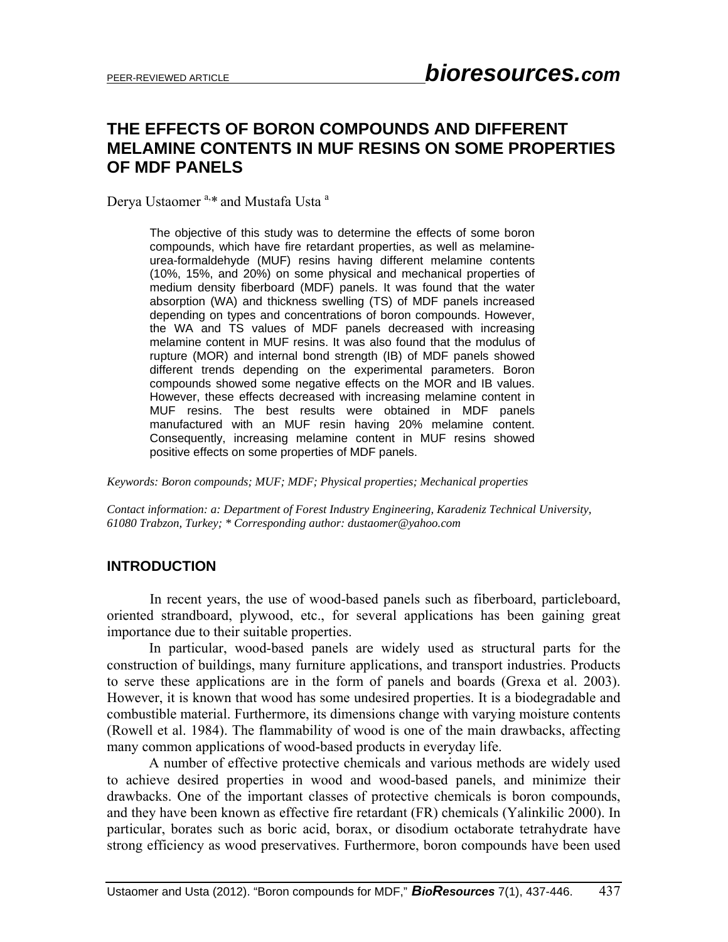# **THE EFFECTS OF BORON COMPOUNDS AND DIFFERENT MELAMINE CONTENTS IN MUF RESINS ON SOME PROPERTIES OF MDF PANELS**

Derya Ustaomer<sup>a,\*</sup> and Mustafa Usta<sup>a</sup>

The objective of this study was to determine the effects of some boron compounds, which have fire retardant properties, as well as melamineurea-formaldehyde (MUF) resins having different melamine contents (10%, 15%, and 20%) on some physical and mechanical properties of medium density fiberboard (MDF) panels. It was found that the water absorption (WA) and thickness swelling (TS) of MDF panels increased depending on types and concentrations of boron compounds. However, the WA and TS values of MDF panels decreased with increasing melamine content in MUF resins. It was also found that the modulus of rupture (MOR) and internal bond strength (IB) of MDF panels showed different trends depending on the experimental parameters. Boron compounds showed some negative effects on the MOR and IB values. However, these effects decreased with increasing melamine content in MUF resins. The best results were obtained in MDF panels manufactured with an MUF resin having 20% melamine content. Consequently, increasing melamine content in MUF resins showed positive effects on some properties of MDF panels.

*Keywords: Boron compounds; MUF; MDF; Physical properties; Mechanical properties* 

*Contact information: a: Department of Forest Industry Engineering, Karadeniz Technical University, 61080 Trabzon, Turkey; \* Corresponding author: dustaomer@yahoo.com* 

### **INTRODUCTION**

In recent years, the use of wood-based panels such as fiberboard, particleboard, oriented strandboard, plywood, etc., for several applications has been gaining great importance due to their suitable properties.

In particular, wood-based panels are widely used as structural parts for the construction of buildings, many furniture applications, and transport industries. Products to serve these applications are in the form of panels and boards (Grexa et al. 2003). However, it is known that wood has some undesired properties. It is a biodegradable and combustible material. Furthermore, its dimensions change with varying moisture contents (Rowell et al. 1984). The flammability of wood is one of the main drawbacks, affecting many common applications of wood-based products in everyday life.

A number of effective protective chemicals and various methods are widely used to achieve desired properties in wood and wood-based panels, and minimize their drawbacks. One of the important classes of protective chemicals is boron compounds, and they have been known as effective fire retardant (FR) chemicals (Yalinkilic 2000). In particular, borates such as boric acid, borax, or disodium octaborate tetrahydrate have strong efficiency as wood preservatives. Furthermore, boron compounds have been used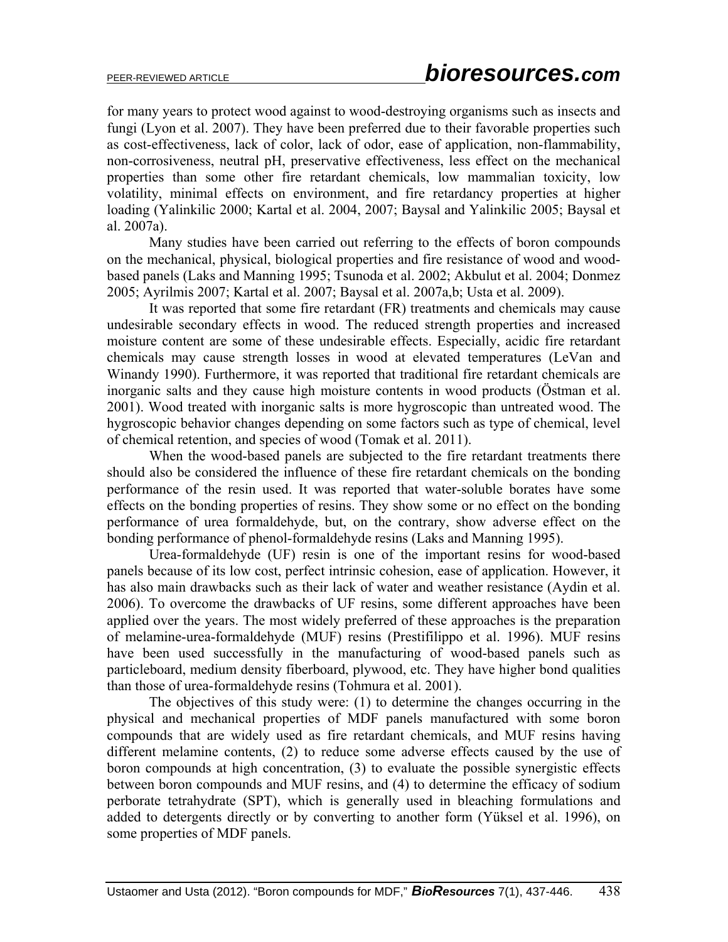for many years to protect wood against to wood-destroying organisms such as insects and fungi (Lyon et al. 2007). They have been preferred due to their favorable properties such as cost-effectiveness, lack of color, lack of odor, ease of application, non-flammability, non-corrosiveness, neutral pH, preservative effectiveness, less effect on the mechanical properties than some other fire retardant chemicals, low mammalian toxicity, low volatility, minimal effects on environment, and fire retardancy properties at higher loading (Yalinkilic 2000; Kartal et al. 2004, 2007; Baysal and Yalinkilic 2005; Baysal et al. 2007a).

Many studies have been carried out referring to the effects of boron compounds on the mechanical, physical, biological properties and fire resistance of wood and woodbased panels (Laks and Manning 1995; Tsunoda et al. 2002; Akbulut et al. 2004; Donmez 2005; Ayrilmis 2007; Kartal et al. 2007; Baysal et al. 2007a,b; Usta et al. 2009).

It was reported that some fire retardant (FR) treatments and chemicals may cause undesirable secondary effects in wood. The reduced strength properties and increased moisture content are some of these undesirable effects. Especially, acidic fire retardant chemicals may cause strength losses in wood at elevated temperatures (LeVan and Winandy 1990). Furthermore, it was reported that traditional fire retardant chemicals are inorganic salts and they cause high moisture contents in wood products (Östman et al. 2001). Wood treated with inorganic salts is more hygroscopic than untreated wood. The hygroscopic behavior changes depending on some factors such as type of chemical, level of chemical retention, and species of wood (Tomak et al. 2011).

When the wood-based panels are subjected to the fire retardant treatments there should also be considered the influence of these fire retardant chemicals on the bonding performance of the resin used. It was reported that water-soluble borates have some effects on the bonding properties of resins. They show some or no effect on the bonding performance of urea formaldehyde, but, on the contrary, show adverse effect on the bonding performance of phenol-formaldehyde resins (Laks and Manning 1995).

Urea-formaldehyde (UF) resin is one of the important resins for wood-based panels because of its low cost, perfect intrinsic cohesion, ease of application. However, it has also main drawbacks such as their lack of water and weather resistance (Aydin et al. 2006). To overcome the drawbacks of UF resins, some different approaches have been applied over the years. The most widely preferred of these approaches is the preparation of melamine-urea-formaldehyde (MUF) resins (Prestifilippo et al. 1996). MUF resins have been used successfully in the manufacturing of wood-based panels such as particleboard, medium density fiberboard, plywood, etc. They have higher bond qualities than those of urea-formaldehyde resins (Tohmura et al. 2001).

The objectives of this study were: (1) to determine the changes occurring in the physical and mechanical properties of MDF panels manufactured with some boron compounds that are widely used as fire retardant chemicals, and MUF resins having different melamine contents, (2) to reduce some adverse effects caused by the use of boron compounds at high concentration, (3) to evaluate the possible synergistic effects between boron compounds and MUF resins, and (4) to determine the efficacy of sodium perborate tetrahydrate (SPT), which is generally used in bleaching formulations and added to detergents directly or by converting to another form (Yüksel et al. 1996), on some properties of MDF panels.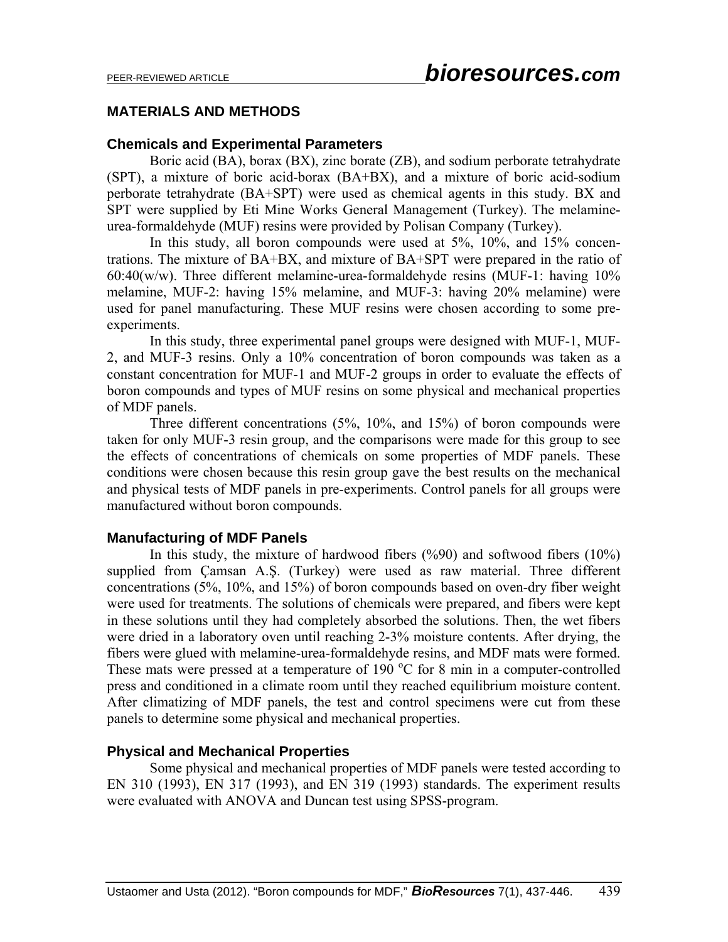### **MATERIALS AND METHODS**

### **Chemicals and Experimental Parameters**

Boric acid (BA), borax (BX), zinc borate (ZB), and sodium perborate tetrahydrate (SPT), a mixture of boric acid-borax (BA+BX), and a mixture of boric acid-sodium perborate tetrahydrate (BA+SPT) were used as chemical agents in this study. BX and SPT were supplied by Eti Mine Works General Management (Turkey). The melamineurea-formaldehyde (MUF) resins were provided by Polisan Company (Turkey).

In this study, all boron compounds were used at 5%, 10%, and 15% concentrations. The mixture of BA+BX, and mixture of BA+SPT were prepared in the ratio of  $60:40(w/w)$ . Three different melamine-urea-formaldehyde resins (MUF-1: having  $10\%$ ) melamine, MUF-2: having 15% melamine, and MUF-3: having 20% melamine) were used for panel manufacturing. These MUF resins were chosen according to some preexperiments.

In this study, three experimental panel groups were designed with MUF-1, MUF-2, and MUF-3 resins. Only a 10% concentration of boron compounds was taken as a constant concentration for MUF-1 and MUF-2 groups in order to evaluate the effects of boron compounds and types of MUF resins on some physical and mechanical properties of MDF panels.

Three different concentrations (5%, 10%, and 15%) of boron compounds were taken for only MUF-3 resin group, and the comparisons were made for this group to see the effects of concentrations of chemicals on some properties of MDF panels. These conditions were chosen because this resin group gave the best results on the mechanical and physical tests of MDF panels in pre-experiments. Control panels for all groups were manufactured without boron compounds.

### **Manufacturing of MDF Panels**

In this study, the mixture of hardwood fibers  $(\frac{%}{90})$  and softwood fibers  $(10\%)$ supplied from Çamsan A.Ş. (Turkey) were used as raw material. Three different concentrations (5%, 10%, and 15%) of boron compounds based on oven-dry fiber weight were used for treatments. The solutions of chemicals were prepared, and fibers were kept in these solutions until they had completely absorbed the solutions. Then, the wet fibers were dried in a laboratory oven until reaching 2-3% moisture contents. After drying, the fibers were glued with melamine-urea-formaldehyde resins, and MDF mats were formed. These mats were pressed at a temperature of 190  $^{\circ}$ C for 8 min in a computer-controlled press and conditioned in a climate room until they reached equilibrium moisture content. After climatizing of MDF panels, the test and control specimens were cut from these panels to determine some physical and mechanical properties.

### **Physical and Mechanical Properties**

Some physical and mechanical properties of MDF panels were tested according to EN 310 (1993), EN 317 (1993), and EN 319 (1993) standards. The experiment results were evaluated with ANOVA and Duncan test using SPSS-program.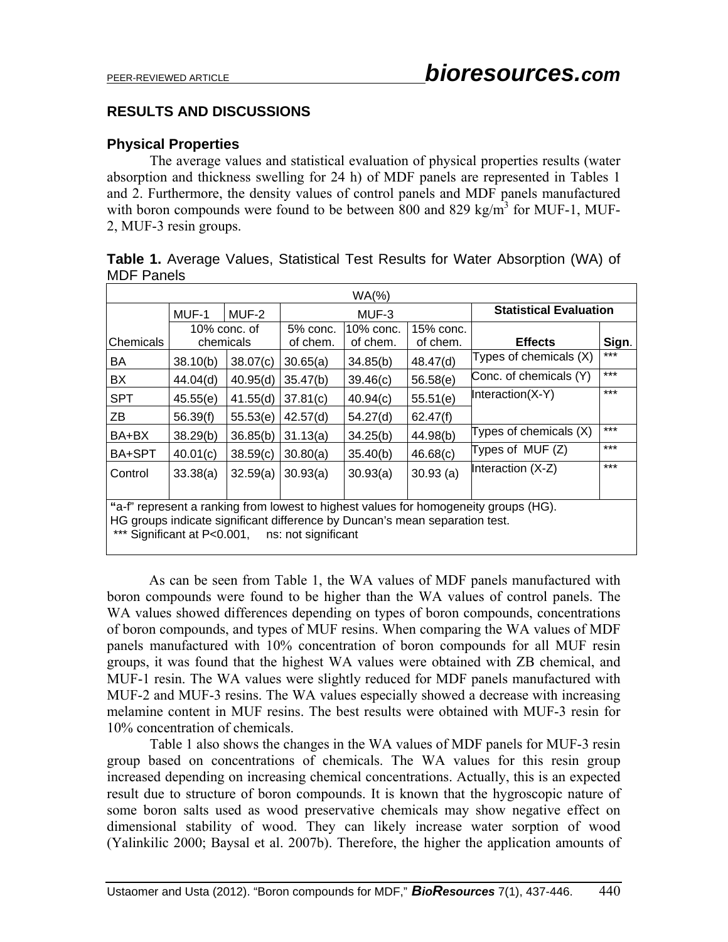### **RESULTS AND DISCUSSIONS**

### **Physical Properties**

The average values and statistical evaluation of physical properties results (water absorption and thickness swelling for 24 h) of MDF panels are represented in Tables 1 and 2. Furthermore, the density values of control panels and MDF panels manufactured with boron compounds were found to be between 800 and 829 kg/m<sup>3</sup> for MUF-1, MUF-2, MUF-3 resin groups.

| Table 1. Average Values, Statistical Test Results for Water Absorption (WA) of |  |  |  |  |  |
|--------------------------------------------------------------------------------|--|--|--|--|--|
| <b>MDF Panels</b>                                                              |  |  |  |  |  |

| $WA$ (%)                                                                                                                                                                                                                  |           |              |          |           |           |                               |       |  |  |
|---------------------------------------------------------------------------------------------------------------------------------------------------------------------------------------------------------------------------|-----------|--------------|----------|-----------|-----------|-------------------------------|-------|--|--|
|                                                                                                                                                                                                                           | MUF-1     | MUF-2        |          | MUF-3     |           | <b>Statistical Evaluation</b> |       |  |  |
|                                                                                                                                                                                                                           |           | 10% conc. of | 5% conc. | 10% conc. | 15% conc. |                               |       |  |  |
| Chemicals                                                                                                                                                                                                                 | chemicals |              | of chem. | of chem.  | of chem.  | <b>Effects</b>                | Sign. |  |  |
| BA                                                                                                                                                                                                                        | 38.10(b)  | 38.07(c)     | 30.65(a) | 34.85(b)  | 48.47(d)  | Types of chemicals (X)        | ***   |  |  |
| BX                                                                                                                                                                                                                        | 44.04(d)  | 40.95(d)     | 35.47(b) | 39.46(c)  | 56.58(e)  | Conc. of chemicals (Y)        | $***$ |  |  |
| <b>SPT</b>                                                                                                                                                                                                                | 45.55(e)  | 41.55(d)     | 37.81(c) | 40.94(c)  | 55.51(e)  | Interaction(X-Y)              | $***$ |  |  |
| ZB                                                                                                                                                                                                                        | 56.39(f)  | 55.53(e)     | 42.57(d) | 54.27(d)  | 62.47(f)  |                               |       |  |  |
| BA+BX                                                                                                                                                                                                                     | 38.29(b)  | 36.85(b)     | 31.13(a) | 34.25(b)  | 44.98(b)  | Types of chemicals (X)        | $***$ |  |  |
| BA+SPT                                                                                                                                                                                                                    | 40.01(c)  | 38.59(c)     | 30.80(a) | 35.40(b)  | 46.68(c)  | Types of MUF (Z)              | $***$ |  |  |
| Control                                                                                                                                                                                                                   | 33.38(a)  | 32.59(a)     | 30.93(a) | 30.93(a)  | 30.93(a)  | Interaction (X-Z)             | $***$ |  |  |
| "a-f" represent a ranking from lowest to highest values for homogeneity groups (HG).<br>HG groups indicate significant difference by Duncan's mean separation test.<br>*** Significant at P<0.001,<br>ns: not significant |           |              |          |           |           |                               |       |  |  |

 As can be seen from Table 1, the WA values of MDF panels manufactured with boron compounds were found to be higher than the WA values of control panels. The WA values showed differences depending on types of boron compounds, concentrations of boron compounds, and types of MUF resins. When comparing the WA values of MDF panels manufactured with 10% concentration of boron compounds for all MUF resin groups, it was found that the highest WA values were obtained with ZB chemical, and MUF-1 resin. The WA values were slightly reduced for MDF panels manufactured with MUF-2 and MUF-3 resins. The WA values especially showed a decrease with increasing melamine content in MUF resins. The best results were obtained with MUF-3 resin for 10% concentration of chemicals.

Table 1 also shows the changes in the WA values of MDF panels for MUF-3 resin group based on concentrations of chemicals. The WA values for this resin group increased depending on increasing chemical concentrations. Actually, this is an expected result due to structure of boron compounds. It is known that the hygroscopic nature of some boron salts used as wood preservative chemicals may show negative effect on dimensional stability of wood. They can likely increase water sorption of wood (Yalinkilic 2000; Baysal et al. 2007b). Therefore, the higher the application amounts of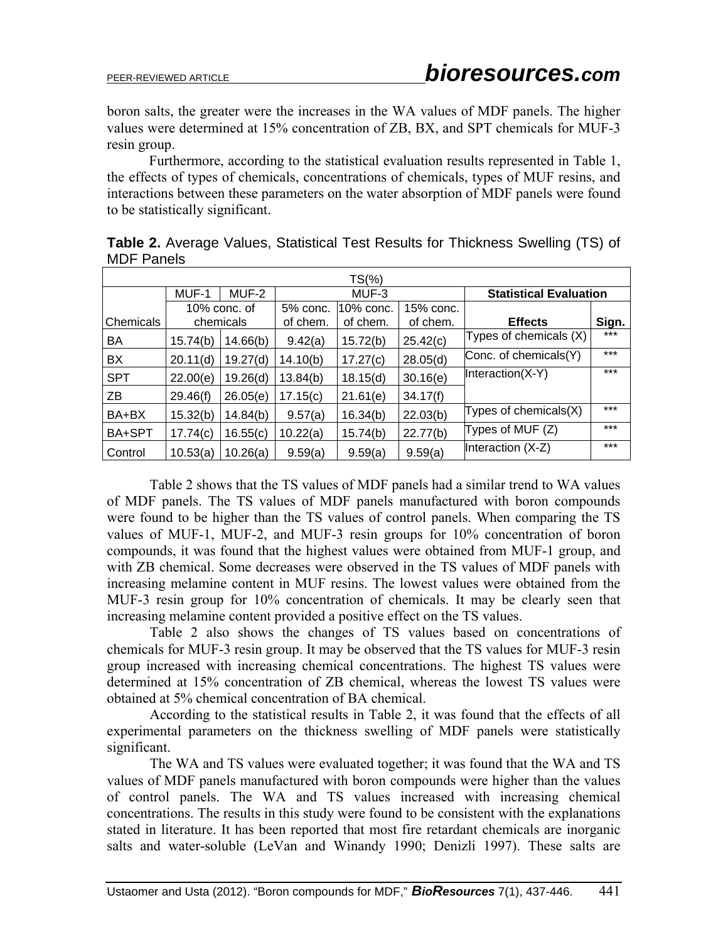boron salts, the greater were the increases in the WA values of MDF panels. The higher values were determined at 15% concentration of ZB, BX, and SPT chemicals for MUF-3 resin group.

Furthermore, according to the statistical evaluation results represented in Table 1, the effects of types of chemicals, concentrations of chemicals, types of MUF resins, and interactions between these parameters on the water absorption of MDF panels were found to be statistically significant.

| $TS(\%)$         |           |              |                                    |          |          |                               |       |  |  |  |
|------------------|-----------|--------------|------------------------------------|----------|----------|-------------------------------|-------|--|--|--|
|                  | MUF-1     | MUF-2        |                                    | MUF-3    |          | <b>Statistical Evaluation</b> |       |  |  |  |
|                  |           | 10% conc. of | 10% conc.<br>15% conc.<br>5% conc. |          |          |                               |       |  |  |  |
| <b>Chemicals</b> | chemicals |              | of chem.                           | of chem. | of chem. | <b>Effects</b>                | Sign. |  |  |  |
| <b>BA</b>        | 15.74(b)  | 14.66(b)     | 9.42(a)                            | 15.72(b) | 25.42(c) | Types of chemicals (X)        | ***   |  |  |  |
| BX               | 20.11(d)  | 19.27(d)     | 14.10(b)                           | 17.27(c) | 28.05(d) | Conc. of chemicals(Y)         | ***   |  |  |  |
| <b>SPT</b>       | 22.00(e)  | 19.26(d)     | 13.84(b)                           | 18.15(d) | 30.16(e) | Interaction(X-Y)              | ***   |  |  |  |
| ZB               | 29.46(f)  | 26.05(e)     | 17.15(c)                           | 21.61(e) | 34.17(f) |                               |       |  |  |  |
| BA+BX            | 15.32(b)  | 14.84(b)     | 9.57(a)                            | 16.34(b) | 22.03(b) | Types of chemicals $(X)$      | $***$ |  |  |  |
| BA+SPT           | 17.74(c)  | 16.55(c)     | 10.22(a)                           | 15.74(b) | 22.77(b) | Types of MUF (Z)              | ***   |  |  |  |
| Control          | 10.53(a)  | 10.26(a)     | 9.59(a)                            | 9.59(a)  | 9.59(a)  | Interaction (X-Z)             | ***   |  |  |  |

**Table 2.** Average Values, Statistical Test Results for Thickness Swelling (TS) of MDF Panels

Table 2 shows that the TS values of MDF panels had a similar trend to WA values of MDF panels. The TS values of MDF panels manufactured with boron compounds were found to be higher than the TS values of control panels. When comparing the TS values of MUF-1, MUF-2, and MUF-3 resin groups for 10% concentration of boron compounds, it was found that the highest values were obtained from MUF-1 group, and with ZB chemical. Some decreases were observed in the TS values of MDF panels with increasing melamine content in MUF resins. The lowest values were obtained from the MUF-3 resin group for 10% concentration of chemicals. It may be clearly seen that increasing melamine content provided a positive effect on the TS values.

Table 2 also shows the changes of TS values based on concentrations of chemicals for MUF-3 resin group. It may be observed that the TS values for MUF-3 resin group increased with increasing chemical concentrations. The highest TS values were determined at 15% concentration of ZB chemical, whereas the lowest TS values were obtained at 5% chemical concentration of BA chemical.

 According to the statistical results in Table 2, it was found that the effects of all experimental parameters on the thickness swelling of MDF panels were statistically significant.

The WA and TS values were evaluated together; it was found that the WA and TS values of MDF panels manufactured with boron compounds were higher than the values of control panels. The WA and TS values increased with increasing chemical concentrations. The results in this study were found to be consistent with the explanations stated in literature. It has been reported that most fire retardant chemicals are inorganic salts and water-soluble (LeVan and Winandy 1990; Denizli 1997). These salts are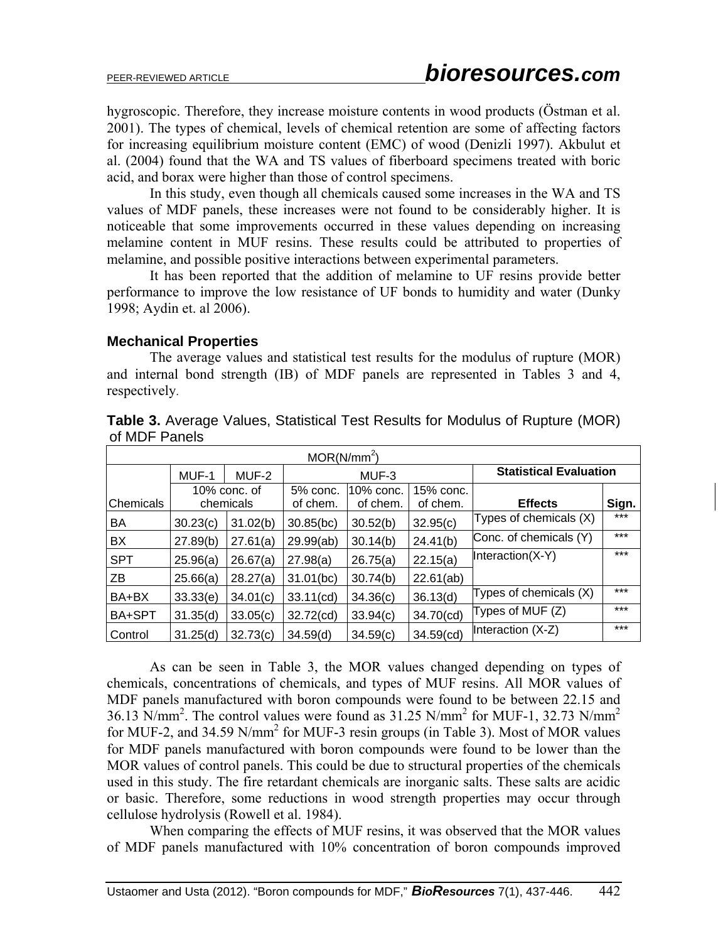hygroscopic. Therefore, they increase moisture contents in wood products (Östman et al. 2001). The types of chemical, levels of chemical retention are some of affecting factors for increasing equilibrium moisture content (EMC) of wood (Denizli 1997). Akbulut et al. (2004) found that the WA and TS values of fiberboard specimens treated with boric acid, and borax were higher than those of control specimens.

 In this study, even though all chemicals caused some increases in the WA and TS values of MDF panels, these increases were not found to be considerably higher. It is noticeable that some improvements occurred in these values depending on increasing melamine content in MUF resins. These results could be attributed to properties of melamine, and possible positive interactions between experimental parameters.

It has been reported that the addition of melamine to UF resins provide better performance to improve the low resistance of UF bonds to humidity and water (Dunky 1998; Aydin et. al 2006).

### **Mechanical Properties**

 The average values and statistical test results for the modulus of rupture (MOR) and internal bond strength (IB) of MDF panels are represented in Tables 3 and 4, respectively.

| MOR(N/mm <sup>2</sup> ) |           |                 |                                    |          |           |                               |       |  |  |
|-------------------------|-----------|-----------------|------------------------------------|----------|-----------|-------------------------------|-------|--|--|
|                         | MUF-1     | MUF-2           |                                    | MUF-3    |           | <b>Statistical Evaluation</b> |       |  |  |
|                         |           | $10\%$ conc. of | 15% conc.<br>5% conc.<br>10% conc. |          |           |                               |       |  |  |
| Chemicals               | chemicals |                 | of chem.                           | of chem. | of chem.  | <b>Effects</b>                | Sign. |  |  |
| BA                      | 30.23(c)  | 31.02(b)        | $30.85$ (bc)                       | 30.52(b) | 32.95(c)  | Types of chemicals (X)        | $***$ |  |  |
| BX                      | 27.89(b)  | 27.61(a)        | 29.99(ab)                          | 30.14(b) | 24.41(b)  | Conc. of chemicals (Y)        | $***$ |  |  |
| <b>SPT</b>              | 25.96(a)  | 26.67(a)        | 27.98(a)                           | 26.75(a) | 22.15(a)  | Interaction(X-Y)              | $***$ |  |  |
| ZΒ                      | 25.66(a)  | 28.27(a)        | 31.01(bc)                          | 30.74(b) | 22.61(ab) |                               |       |  |  |
| BA+BX                   | 33.33(e)  | 34.01(c)        | 33.11(cd)                          | 34.36(c) | 36.13(d)  | Types of chemicals $(X)$      | $***$ |  |  |
| BA+SPT                  | 31.35(d)  | 33.05(c)        | 32.72(cd)                          | 33.94(c) | 34.70(cd) | Types of MUF (Z)              | $***$ |  |  |
| Control                 | 31.25(d)  | 32.73(c)        | 34.59(d)                           | 34.59(c) | 34.59(cd) | Interaction (X-Z)             | $***$ |  |  |

**Table 3.** Average Values, Statistical Test Results for Modulus of Rupture (MOR) of MDF Panels

 As can be seen in Table 3, the MOR values changed depending on types of chemicals, concentrations of chemicals, and types of MUF resins. All MOR values of MDF panels manufactured with boron compounds were found to be between 22.15 and 36.13 N/mm<sup>2</sup>. The control values were found as 31.25 N/mm<sup>2</sup> for MUF-1, 32.73 N/mm<sup>2</sup> for MUF-2, and 34.59 N/mm<sup>2</sup> for MUF-3 resin groups (in Table 3). Most of MOR values for MDF panels manufactured with boron compounds were found to be lower than the MOR values of control panels. This could be due to structural properties of the chemicals used in this study. The fire retardant chemicals are inorganic salts. These salts are acidic or basic. Therefore, some reductions in wood strength properties may occur through cellulose hydrolysis (Rowell et al. 1984).

When comparing the effects of MUF resins, it was observed that the MOR values of MDF panels manufactured with 10% concentration of boron compounds improved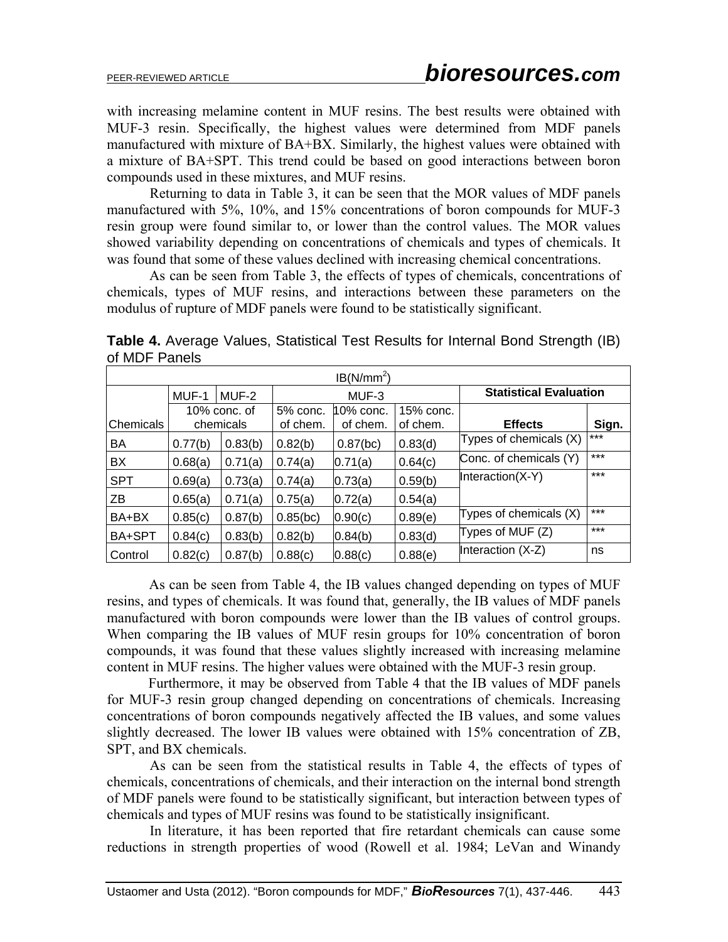with increasing melamine content in MUF resins. The best results were obtained with MUF-3 resin. Specifically, the highest values were determined from MDF panels manufactured with mixture of BA+BX. Similarly, the highest values were obtained with a mixture of BA+SPT. This trend could be based on good interactions between boron compounds used in these mixtures, and MUF resins.

 Returning to data in Table 3, it can be seen that the MOR values of MDF panels manufactured with 5%, 10%, and 15% concentrations of boron compounds for MUF-3 resin group were found similar to, or lower than the control values. The MOR values showed variability depending on concentrations of chemicals and types of chemicals. It was found that some of these values declined with increasing chemical concentrations.

 As can be seen from Table 3, the effects of types of chemicals, concentrations of chemicals, types of MUF resins, and interactions between these parameters on the modulus of rupture of MDF panels were found to be statistically significant.

 $IB(N/mm<sup>2</sup>)$ MUF-1 MUF-2 MUF-3 **Statistical Evaluation Chemicals** 10% conc. of chemicals 5% conc. of chem. 10% conc. of chem. 15% conc. of chem. **Effects** Sign. BA  $\begin{array}{|c|c|c|c|c|c|c|c|c|c|c|} \hline 0.77(b) & 0.83(b) & 0.82(b) & 0.87(bc) & 0.83(d) & \hline \end{array}$  Types of chemicals (X) BX 0.68(a) 0.71(a) 0.74(a) 0.71(a) 0.64(c) Conc. of chemicals (Y) \*\*\*  $SPT$   $|0.69(a) |0.73(a) |0.74(a) |0.73(a) |0.59(b)$  |Interaction(X-Y) ZB 0.65(a) 0.71(a) 0.75(a) 0.72(a) 0.54(a)  $BA+BX$   $0.85(c)$   $0.87(b)$   $0.85(bc)$   $0.90(c)$   $0.89(e)$  Types of chemicals (X) \*\*\* BA+SPT 0.84(c) 0.83(b) 0.82(b) 0.84(b) 0.83(d) Types of MUF (Z) \*\*\* Control  $0.82(c)$   $0.87(b)$   $0.88(c)$   $0.88(c)$   $0.88(e)$  Interaction (X-Z) ns

**Table 4.** Average Values, Statistical Test Results for Internal Bond Strength (IB) of MDF Panels

As can be seen from Table 4, the IB values changed depending on types of MUF resins, and types of chemicals. It was found that, generally, the IB values of MDF panels manufactured with boron compounds were lower than the IB values of control groups. When comparing the IB values of MUF resin groups for 10% concentration of boron compounds, it was found that these values slightly increased with increasing melamine content in MUF resins. The higher values were obtained with the MUF-3 resin group.

 Furthermore, it may be observed from Table 4 that the IB values of MDF panels for MUF-3 resin group changed depending on concentrations of chemicals. Increasing concentrations of boron compounds negatively affected the IB values, and some values slightly decreased. The lower IB values were obtained with 15% concentration of ZB, SPT, and BX chemicals.

 As can be seen from the statistical results in Table 4, the effects of types of chemicals, concentrations of chemicals, and their interaction on the internal bond strength of MDF panels were found to be statistically significant, but interaction between types of chemicals and types of MUF resins was found to be statistically insignificant.

 In literature, it has been reported that fire retardant chemicals can cause some reductions in strength properties of wood (Rowell et al. 1984; LeVan and Winandy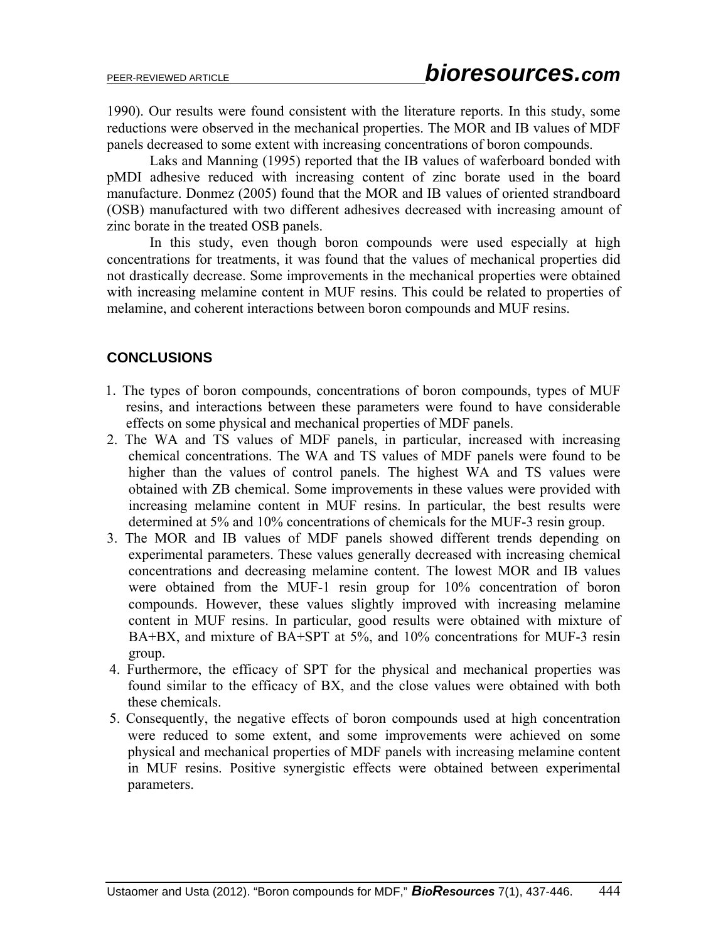1990). Our results were found consistent with the literature reports. In this study, some reductions were observed in the mechanical properties. The MOR and IB values of MDF panels decreased to some extent with increasing concentrations of boron compounds.

Laks and Manning (1995) reported that the IB values of waferboard bonded with pMDI adhesive reduced with increasing content of zinc borate used in the board manufacture. Donmez (2005) found that the MOR and IB values of oriented strandboard (OSB) manufactured with two different adhesives decreased with increasing amount of zinc borate in the treated OSB panels.

 In this study, even though boron compounds were used especially at high concentrations for treatments, it was found that the values of mechanical properties did not drastically decrease. Some improvements in the mechanical properties were obtained with increasing melamine content in MUF resins. This could be related to properties of melamine, and coherent interactions between boron compounds and MUF resins.

# **CONCLUSIONS**

- 1. The types of boron compounds, concentrations of boron compounds, types of MUF resins, and interactions between these parameters were found to have considerable effects on some physical and mechanical properties of MDF panels.
- 2. The WA and TS values of MDF panels, in particular, increased with increasing chemical concentrations. The WA and TS values of MDF panels were found to be higher than the values of control panels. The highest WA and TS values were obtained with ZB chemical. Some improvements in these values were provided with increasing melamine content in MUF resins. In particular, the best results were determined at 5% and 10% concentrations of chemicals for the MUF-3 resin group.
- 3. The MOR and IB values of MDF panels showed different trends depending on experimental parameters. These values generally decreased with increasing chemical concentrations and decreasing melamine content. The lowest MOR and IB values were obtained from the MUF-1 resin group for 10% concentration of boron compounds. However, these values slightly improved with increasing melamine content in MUF resins. In particular, good results were obtained with mixture of BA+BX, and mixture of BA+SPT at 5%, and 10% concentrations for MUF-3 resin group.
- 4. Furthermore, the efficacy of SPT for the physical and mechanical properties was found similar to the efficacy of BX, and the close values were obtained with both these chemicals.
- 5. Consequently, the negative effects of boron compounds used at high concentration were reduced to some extent, and some improvements were achieved on some physical and mechanical properties of MDF panels with increasing melamine content in MUF resins. Positive synergistic effects were obtained between experimental parameters.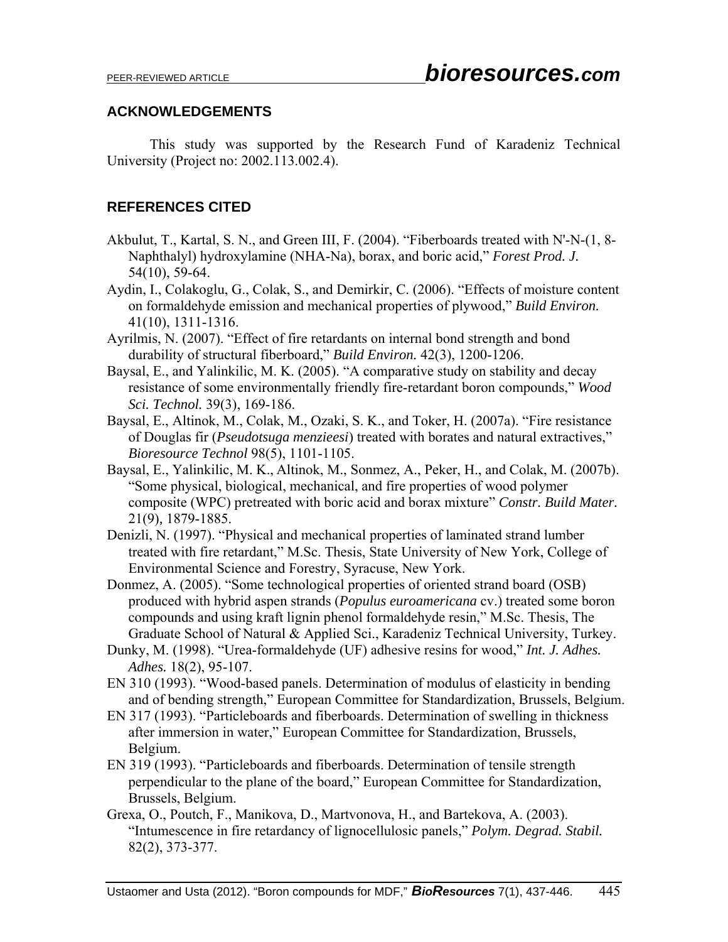### **ACKNOWLEDGEMENTS**

This study was supported by the Research Fund of Karadeniz Technical University (Project no: 2002.113.002.4).

## **REFERENCES CITED**

- Akbulut, T., Kartal, S. N., and Green III, F. (2004). "Fiberboards treated with N'-N-(1, 8- Naphthalyl) hydroxylamine (NHA-Na), borax, and boric acid," *Forest Prod. J.*  54(10), 59-64.
- Aydin, I., Colakoglu, G., Colak, S., and Demirkir, C. (2006). "Effects of moisture content on formaldehyde emission and mechanical properties of plywood," *Build Environ.* 41(10), 1311-1316.
- Ayrilmis, N. (2007). "Effect of fire retardants on internal bond strength and bond durability of structural fiberboard," *Build Environ.* 42(3), 1200-1206.
- Baysal, E., and Yalinkilic, M. K. (2005). "A comparative study on stability and decay resistance of some environmentally friendly fire-retardant boron compounds," *Wood Sci. Technol.* 39(3), 169-186.
- Baysal, E., Altinok, M., Colak, M., Ozaki, S. K., and Toker, H. (2007a). "Fire resistance of Douglas fir (*Pseudotsuga menzieesi*) treated with borates and natural extractives," *Bioresource Technol* 98(5), 1101-1105.
- Baysal, E., Yalinkilic, M. K., Altinok, M., Sonmez, A., Peker, H., and Colak, M. (2007b). "Some physical, biological, mechanical, and fire properties of wood polymer composite (WPC) pretreated with boric acid and borax mixture" *Constr. Build Mater.* 21(9)*,* 1879-1885.
- Denizli, N. (1997). "Physical and mechanical properties of laminated strand lumber treated with fire retardant," M.Sc. Thesis, State University of New York, College of Environmental Science and Forestry, Syracuse, New York.
- Donmez, A. (2005). "Some technological properties of oriented strand board (OSB) produced with hybrid aspen strands (*Populus euroamericana* cv.) treated some boron compounds and using kraft lignin phenol formaldehyde resin," M.Sc. Thesis, The Graduate School of Natural & Applied Sci., Karadeniz Technical University, Turkey.
- Dunky, M. (1998). "Urea-formaldehyde (UF) adhesive resins for wood," *Int. J. Adhes. Adhes.* 18(2), 95-107.
- EN 310 (1993). "Wood-based panels. Determination of modulus of elasticity in bending and of bending strength," European Committee for Standardization, Brussels, Belgium.
- EN 317 (1993). "Particleboards and fiberboards. Determination of swelling in thickness after immersion in water," European Committee for Standardization, Brussels, Belgium.
- EN 319 (1993). "Particleboards and fiberboards. Determination of tensile strength perpendicular to the plane of the board," European Committee for Standardization, Brussels, Belgium.
- Grexa, O., Poutch, F., Manikova, D., Martvonova, H., and Bartekova, A. (2003). "Intumescence in fire retardancy of lignocellulosic panels," *Polym. Degrad. Stabil.* 82(2), 373-377.